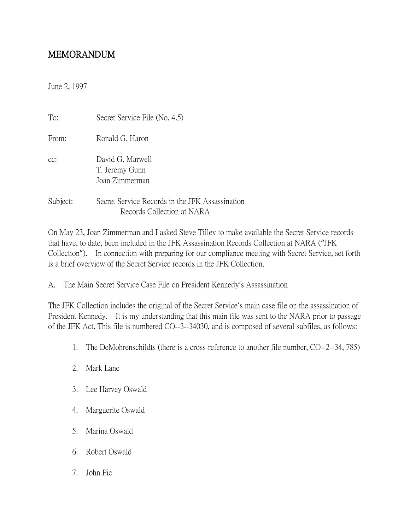# MEMORANDUM

June 2, 1997

| To:      | Secret Service File (No. 4.5)                                                 |
|----------|-------------------------------------------------------------------------------|
| From:    | Ronald G. Haron                                                               |
| $cc$ :   | David G. Marwell<br>T. Jeremy Gunn<br>Joan Zimmerman                          |
| Subject: | Secret Service Records in the JFK Assassination<br>Records Collection at NARA |

On May 23, Joan Zimmerman and I asked Steve Tilley to make available the Secret Service records that have, to date, been included in the JFK Assassination Records Collection at NARA ("JFK Collection"). In connection with preparing for our compliance meeting with Secret Service, set forth is a brief overview of the Secret Service records in the JFK Collection.

#### A. The Main Secret Service Case File on President Kennedy's Assassination

The JFK Collection includes the original of the Secret Service's main case file on the assassination of President Kennedy. It is my understanding that this main file was sent to the NARA prior to passage of the JFK Act. This file is numbered CO--3--34030, and is composed of several subfiles, as follows:

- 1. The DeMohrenschildts (there is a cross-reference to another file number, CO--2--34, 785)
- 2. Mark Lane
- 3. Lee Harvey Oswald
- 4. Marguerite Oswald
- 5. Marina Oswald
- 6. Robert Oswald
- 7. John Pic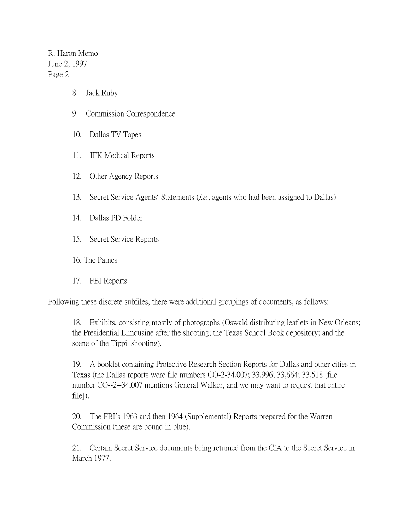R. Haron Memo June 2, 1997 Page 2

- 8. Jack Ruby
- 9. Commission Correspondence
- 10. Dallas TV Tapes
- 11. JFK Medical Reports
- 12. Other Agency Reports
- 13. Secret Service Agents' Statements *(i.e.*, agents who had been assigned to Dallas)
- 14. Dallas PD Folder
- 15. Secret Service Reports
- 16. The Paines
- 17. FBI Reports

Following these discrete subfiles, there were additional groupings of documents, as follows:

18. Exhibits, consisting mostly of photographs (Oswald distributing leaflets in New Orleans; the Presidential Limousine after the shooting; the Texas School Book depository; and the scene of the Tippit shooting).

19. A booklet containing Protective Research Section Reports for Dallas and other cities in Texas (the Dallas reports were file numbers CO-2-34,007; 33,996; 33,664; 33,518 [file number CO--2--34,007 mentions General Walker, and we may want to request that entire file]).

20. The FBI's 1963 and then 1964 (Supplemental) Reports prepared for the Warren Commission (these are bound in blue).

21. Certain Secret Service documents being returned from the CIA to the Secret Service in March 1977.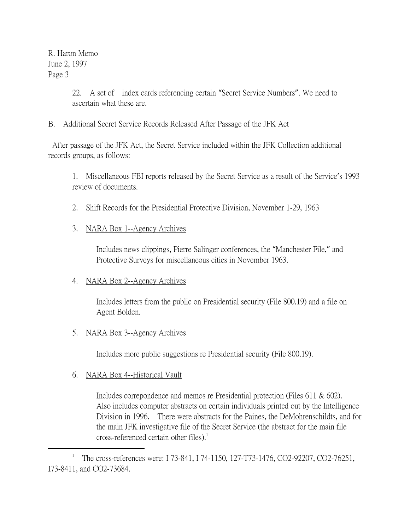R. Haron Memo June 2, 1997 Page 3

> 22. A set of index cards referencing certain "Secret Service Numbers". We need to ascertain what these are.

#### B. Additional Secret Service Records Released After Passage of the JFK Act

After passage of the JFK Act, the Secret Service included within the JFK Collection additional records groups, as follows:

1. Miscellaneous FBI reports released by the Secret Service as a result of the Service's 1993 review of documents.

- 2. Shift Records for the Presidential Protective Division, November 1-29, 1963
- 3. NARA Box 1--Agency Archives

Includes news clippings, Pierre Salinger conferences, the "Manchester File," and Protective Surveys for miscellaneous cities in November 1963.

## 4. NARA Box 2--Agency Archives

Includes letters from the public on Presidential security (File 800.19) and a file on Agent Bolden.

## 5. NARA Box 3--Agency Archives

Includes more public suggestions re Presidential security (File 800.19).

6. NARA Box 4--Historical Vault

 $\overline{a}$ 

Includes correpondence and memos re Presidential protection (Files 611 & 602). Also includes computer abstracts on certain individuals printed out by the Intelligence Division in 1996. There were abstracts for the Paines, the DeMohrenschildts, and for the main JFK investigative file of the Secret Service (the abstract for the main file cross-referenced certain other files). $<sup>1</sup>$ </sup>

<sup>1</sup> The cross-references were: I 73-841, I 74-1150, 127-T73-1476, CO2-92207, CO2-76251, I73-8411, and CO2-73684.